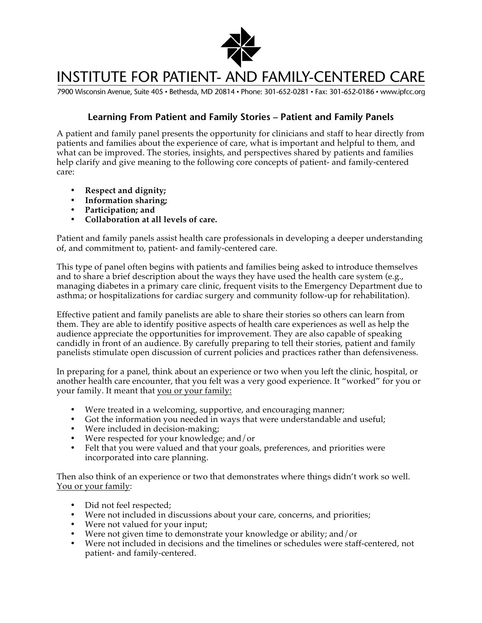

## **INSTITUTE FOR PATIENT- AND FAMILY-CENTERED CARE**

7900 Wisconsin Avenue, Suite 405 · Bethesda, MD 20814 · Phone: 301-652-0281 · Fax: 301-652-0186 · www.ipfcc.org

## **Learning From Patient and Family Stories – Patient and Family Panels**

A patient and family panel presents the opportunity for clinicians and staff to hear directly from patients and families about the experience of care, what is important and helpful to them, and what can be improved. The stories, insights, and perspectives shared by patients and families help clarify and give meaning to the following core concepts of patient- and family-centered care:

- **Respect and dignity;**
- **Information sharing;**
- **Participation; and**
- **Collaboration at all levels of care.**

Patient and family panels assist health care professionals in developing a deeper understanding of, and commitment to, patient- and family-centered care.

This type of panel often begins with patients and families being asked to introduce themselves and to share a brief description about the ways they have used the health care system (e.g., managing diabetes in a primary care clinic, frequent visits to the Emergency Department due to asthma; or hospitalizations for cardiac surgery and community follow-up for rehabilitation).

Effective patient and family panelists are able to share their stories so others can learn from them. They are able to identify positive aspects of health care experiences as well as help the audience appreciate the opportunities for improvement. They are also capable of speaking candidly in front of an audience. By carefully preparing to tell their stories, patient and family panelists stimulate open discussion of current policies and practices rather than defensiveness.

In preparing for a panel, think about an experience or two when you left the clinic, hospital, or another health care encounter, that you felt was a very good experience. It "worked" for you or your family. It meant that you or your family:

- Were treated in a welcoming, supportive, and encouraging manner;
- Got the information you needed in ways that were understandable and useful;
- Were included in decision-making;
- Were respected for your knowledge; and/or
- Felt that you were valued and that your goals, preferences, and priorities were incorporated into care planning.

Then also think of an experience or two that demonstrates where things didn't work so well. You or your family:

- Did not feel respected;
- Were not included in discussions about your care, concerns, and priorities;
- Were not valued for your input;
- Were not given time to demonstrate your knowledge or ability; and/or
- Were not included in decisions and the timelines or schedules were staff-centered, not patient- and family-centered.